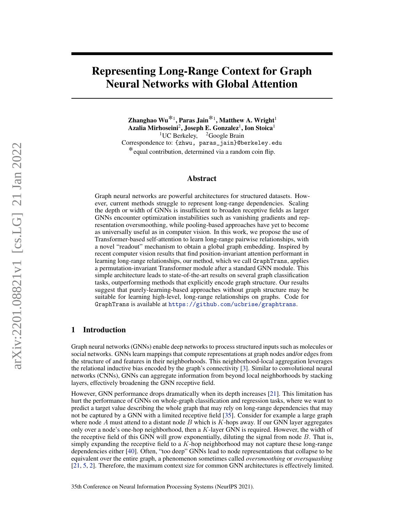# Representing Long-Range Context for Graph Neural Networks with Global Attention

Zhanghao Wu $^{\textstyle{*}_1}$ , Paras Jain $^{\textstyle{*}_1}$ , Matthew A. Wright $^{\textstyle{1}}$ Azalia Mirhoseini $^2$ , Joseph E. Gonzalez $^1$ , Ion Stoica $^1$ <sup>1</sup>UC Berkeley, <sup>2</sup>Google Brain Correspondence to: {zhwu, paras\_jain}@berkeley.edu \*equal contribution, determined via a random coin flip.

## Abstract

Graph neural networks are powerful architectures for structured datasets. However, current methods struggle to represent long-range dependencies. Scaling the depth or width of GNNs is insufficient to broaden receptive fields as larger GNNs encounter optimization instabilities such as vanishing gradients and representation oversmoothing, while pooling-based approaches have yet to become as universally useful as in computer vision. In this work, we propose the use of Transformer-based self-attention to learn long-range pairwise relationships, with a novel "readout" mechanism to obtain a global graph embedding. Inspired by recent computer vision results that find position-invariant attention performant in learning long-range relationships, our method, which we call GraphTrans, applies a permutation-invariant Transformer module after a standard GNN module. This simple architecture leads to state-of-the-art results on several graph classification tasks, outperforming methods that explicitly encode graph structure. Our results suggest that purely-learning-based approaches without graph structure may be suitable for learning high-level, long-range relationships on graphs. Code for GraphTrans is available at <https://github.com/ucbrise/graphtrans>.

## 1 Introduction

Graph neural networks (GNNs) enable deep networks to process structured inputs such as molecules or social networks. GNNs learn mappings that compute representations at graph nodes and/or edges from the structure of and features in their neighborhoods. This neighborhood-local aggregation leverages the relational inductive bias encoded by the graph's connectivity [\[3\]](#page-10-0). Similar to convolutional neural networks (CNNs), GNNs can aggregate information from beyond local neighborhoods by stacking layers, effectively broadening the GNN receptive field.

However, GNN performance drops dramatically when its depth increases [\[21\]](#page-11-0). This limitation has hurt the performance of GNNs on whole-graph classification and regression tasks, where we want to predict a target value describing the whole graph that may rely on long-range dependencies that may not be captured by a GNN with a limited receptive field [\[35\]](#page-12-0). Consider for example a large graph where node A must attend to a distant node B which is  $K$ -hops away. If our GNN layer aggregates only over a node's one-hop neighborhood, then a  $K$ -layer GNN is required. However, the width of the receptive field of this GNN will grow exponentially, diluting the signal from node  $B$ . That is, simply expanding the receptive field to a  $K$ -hop neighborhood may not capture these long-range dependencies either [\[40\]](#page-13-0). Often, "too deep" GNNs lead to node representations that collapse to be equivalent over the entire graph, a phenomenon sometimes called *oversmoothing* or *oversquashing* [\[21,](#page-11-0) [5,](#page-10-1) [2\]](#page-10-2). Therefore, the maximum context size for common GNN architectures is effectively limited.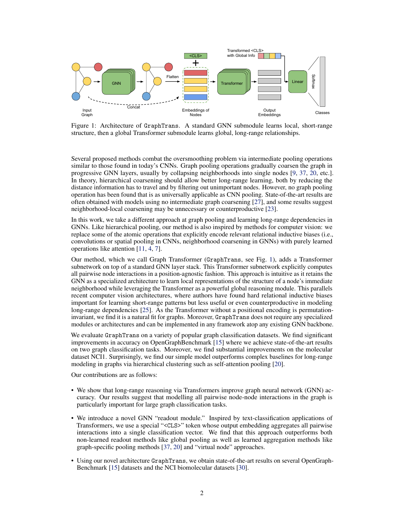<span id="page-1-0"></span>

Figure 1: Architecture of GraphTrans. A standard GNN submodule learns local, short-range structure, then a global Transformer submodule learns global, long-range relationships.

Several proposed methods combat the oversmoothing problem via intermediate pooling operations similar to those found in today's CNNs. Graph pooling operations gradually coarsen the graph in progressive GNN layers, usually by collapsing neighborhoods into single nodes [\[9,](#page-10-3) [37,](#page-13-1) [20,](#page-11-1) etc.]. In theory, hierarchical coarsening should allow better long-range learning, both by reducing the distance information has to travel and by filtering out unimportant nodes. However, no graph pooling operation has been found that is as universally applicable as CNN pooling. State-of-the-art results are often obtained with models using no intermediate graph coarsening [\[27\]](#page-12-1), and some results suggest neighborhood-local coarsening may be unnecessary or counterproductive [\[23\]](#page-11-2).

In this work, we take a different approach at graph pooling and learning long-range dependencies in GNNs. Like hierarchical pooling, our method is also inspired by methods for computer vision: we replace some of the atomic operations that explicitly encode relevant relational inductive biases (i.e., convolutions or spatial pooling in CNNs, neighborhood coarsening in GNNs) with purely learned operations like attention [\[11,](#page-10-4) [4,](#page-10-5) [7\]](#page-10-6).

Our method, which we call Graph Transformer (GraphTrans, see Fig. [1\)](#page-1-0), adds a Transformer subnetwork on top of a standard GNN layer stack. This Transformer subnetwork explicitly computes all pairwise node interactions in a position-agnostic fashion. This approach is intuitive as it retains the GNN as a specialized architecture to learn local representations of the structure of a node's immediate neighborhood while leveraging the Transformer as a powerful global reasoning module. This parallels recent computer vision architectures, where authors have found hard relational inductive biases important for learning short-range patterns but less useful or even counterproductive in modeling long-range dependencies [\[25\]](#page-12-2). As the Transformer without a positional encoding is permutationinvariant, we find it is a natural fit for graphs. Moreover, GraphTrans does not require any specialized modules or architectures and can be implemented in any framework atop any existing GNN backbone.

We evaluate GraphTrans on a variety of popular graph classification datasets. We find significant improvements in accuracy on OpenGraphBenchmark [\[15\]](#page-11-3) where we achieve state-of-the-art results on two graph classification tasks. Moreover, we find substantial improvements on the molecular dataset NCI1. Surprisingly, we find our simple model outperforms complex baselines for long-range modeling in graphs via hierarchical clustering such as self-attention pooling [\[20\]](#page-11-1).

Our contributions are as follows:

- We show that long-range reasoning via Transformers improve graph neural network (GNN) accuracy. Our results suggest that modelling all pairwise node-node interactions in the graph is particularly important for large graph classification tasks.
- We introduce a novel GNN "readout module." Inspired by text-classification applications of Transformers, we use a special "<CLS>" token whose output embedding aggregates all pairwise interactions into a single classification vector. We find that this approach outperforms both non-learned readout methods like global pooling as well as learned aggregation methods like graph-specific pooling methods [\[37,](#page-13-1) [20\]](#page-11-1) and "virtual node" approaches.
- Using our novel architecture GraphTrans, we obtain state-of-the-art results on several OpenGraph-Benchmark [\[15\]](#page-11-3) datasets and the NCI biomolecular datasets [\[30\]](#page-12-3).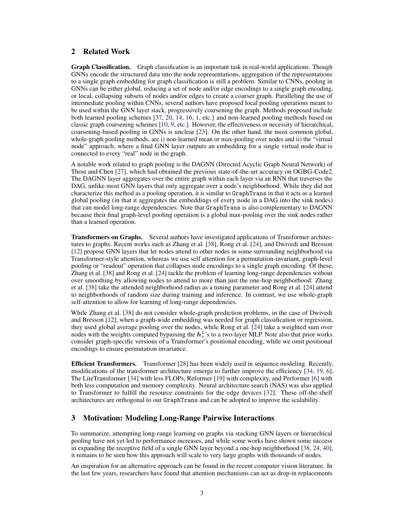## 2 Related Work

Graph Classification. Graph classification is an important task in real-world applications. Though GNNs encode the structured data into the node representations, aggregation of the representations to a single graph embedding for graph classification is still a problem. Similar to CNNs, pooling in GNNs can be either global, reducing a set of node and/or edge encodings to a single graph encoding, or local, collapsing subsets of nodes and/or edges to create a coarser graph. Paralleling the use of intermediate pooling within CNNs, several authors have proposed local pooling operations meant to be used within the GNN layer stack, progressively coarsening the graph. Methods proposed include both learned pooling schemes [\[37,](#page-13-1) [20,](#page-11-1) [14,](#page-11-4) [16,](#page-11-5) [1,](#page-10-7) etc.] and non-learned pooling methods based on classic graph coarsening schemes [\[10,](#page-10-8) [9,](#page-10-3) etc.]. However, the effectiveness or necessity of hierarchical, coarsening-based pooling in GNNs is unclear [\[23\]](#page-11-2). On the other hand, the most common global, whole-graph pooling methods, are i) non-learned mean or max-pooling over nodes and ii) the "virtual node" approach, where a final GNN layer outputs an embedding for a single virtual node that is connected to every "real" node in the graph.

A notable work related to graph pooling is the DAGNN (Directed Acyclic Graph Neural Network) of Thost and Chen [\[27\]](#page-12-1), which had obtained the previous state-of-the-art accuracy on OGBG-Code2. The DAGNN layer aggregates over the entire graph within each layer via an RNN that traverses the DAG, unlike most GNN layers that only aggregate over a node's neighborhood. While they did not characterize this method as a pooling operation, it is similar to GraphTrans in that it acts as a learned global pooling (in that it aggregates the embeddings of every node in a DAG into the sink nodes) that can model long-range dependencies. Note that GraphTrans is also complementary to DAGNN because their final graph-level pooling operation is a global max-pooling over the sink nodes rather than a learned operation.

Transformers on Graphs. Several authors have investigated applications of Transformer architectures to graphs. Recent works such as Zhang et al. [\[38\]](#page-13-2), Rong et al. [\[24\]](#page-12-4), and Dwivedi and Bresson [\[12\]](#page-11-6) propose GNN layers that let nodes attend to other nodes in some surrounding neighborhood via Transformer-style attention, whereas we use self attention for a permutation-invariant, graph-level pooling or "readout" operation that collapses node encodings to a single graph encoding. Of these, Zhang et al. [\[38\]](#page-13-2) and Rong et al. [\[24\]](#page-12-4) tackle the problem of learning long-range dependencies without over smoothing by allowing nodes to attend to more than just the one-hop neighborhood: Zhang et al. [\[38\]](#page-13-2) take the attended neighborhood radius as a tuning parameter and Rong et al. [\[24\]](#page-12-4) attend to neighborhoods of random size during training and inference. In contrast, we use whole-graph self-attention to allow for learning of long-range dependencies.

While Zhang et al. [\[38\]](#page-13-2) do not consider whole-graph prediction problems, in the case of Dwivedi and Bresson [\[12\]](#page-11-6), when a graph-wide embedding was needed for graph classification or regression, they used global average pooling over the nodes, while Rong et al. [\[24\]](#page-12-4) take a weighted sum over nodes with the weights computed bypassing the  $h_v^L$ 's to a two-layer MLP. Note also that prior works consider graph-specific versions of a Transformer's positional encoding, while we omit positional encodings to ensure permutation invariance.

Efficient Transformers. Transformer [\[28\]](#page-12-5) has been widely used in sequence modeling. Recently, modifications of the transformer architecture emerge to further improve the efficiency [\[34,](#page-12-6) [19,](#page-11-7) [6\]](#page-10-9). The LiteTransformer [\[34\]](#page-12-6) with less FLOPs, Reformer [\[19\]](#page-11-7) with complexity, and Performer [\[6\]](#page-10-9) with both less computation and memory complexity. Neural architecture search (NAS) was also applied to Transformer to fulfill the resource constraints for the edge devices [\[32\]](#page-12-7). These off-the-shelf architectures are orthogonal to our GraphTrans and can be adopted to improve the scalability.

## <span id="page-2-0"></span>3 Motivation: Modeling Long-Range Pairwise Interactions

To summarize, attempting long-range learning on graphs via stacking GNN layers or hierarchical pooling have not yet led to performance increases, and while some works have shown some success in expanding the receptive field of a single GNN layer beyond a one-hop neighborhood [\[38,](#page-13-2) [24,](#page-12-4) [40\]](#page-13-0), it remains to be seen how this approach will scale to very large graphs with thousands of nodes.

An inspiration for an alternative approach can be found in the recent computer vision literature. In the last few years, researchers have found that attention mechanisms can act as drop-in replacements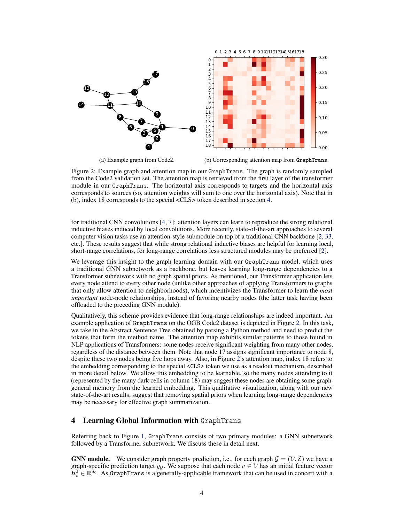<span id="page-3-1"></span>

(a) Example graph from Code2.

(b) Corresponding attention map from GraphTrans.

Figure 2: Example graph and attention map in our GraphTrans. The graph is randomly sampled from the Code2 validation set. The attention map is retrieved from the first layer of the transformer module in our GraphTrans. The horizontal axis corresponds to targets and the horizontal axis corresponds to sources (so, attention weights will sum to one over the horizontal axis). Note that in (b), index 18 corresponds to the special <CLS> token described in section [4.](#page-3-0)

for traditional CNN convolutions [\[4,](#page-10-5) [7\]](#page-10-6): attention layers can learn to reproduce the strong relational inductive biases induced by local convolutions. More recently, state-of-the-art approaches to several computer vision tasks use an attention-style submodule on top of a traditional CNN backbone [\[2,](#page-10-2) [33,](#page-12-8) etc.]. These results suggest that while strong relational inductive biases are helpful for learning local, short-range correlations, for long-range correlations less structured modules may be preferred [\[2\]](#page-10-2).

We leverage this insight to the graph learning domain with our GraphTrans model, which uses a traditional GNN subnetwork as a backbone, but leaves learning long-range dependencies to a Transformer subnetwork with no graph spatial priors. As mentioned, our Transformer application lets every node attend to every other node (unlike other approaches of applying Transformers to graphs that only allow attention to neighborhoods), which incentivizes the Transformer to learn the *most important* node-node relationships, instead of favoring nearby nodes (the latter task having been offloaded to the preceding GNN module).

Qualitatively, this scheme provides evidence that long-range relationships are indeed important. An example application of GraphTrans on the OGB Code2 dataset is depicted in Figure [2.](#page-3-1) In this task, we take in the Abstract Sentence Tree obtained by parsing a Python method and need to predict the tokens that form the method name. The attention map exhibits similar patterns to those found in NLP applications of Transformers: some nodes receive significant weighting from many other nodes, regardless of the distance between them. Note that node 17 assigns significant importance to node 8, despite these two nodes being five hops away. Also, in Figure [2'](#page-3-1)s attention map, index 18 refers to the embedding corresponding to the special <CLS> token we use as a readout mechanism, described in more detail below. We allow this embedding to be learnable, so the many nodes attending to it (represented by the many dark cells in column 18) may suggest these nodes are obtaining some graphgeneral memory from the learned embedding. This qualitative visualization, along with our new state-of-the-art results, suggest that removing spatial priors when learning long-range dependencies may be necessary for effective graph summarization.

## <span id="page-3-0"></span>4 Learning Global Information with GraphTrans

Referring back to Figure [1,](#page-1-0) GraphTrans consists of two primary modules: a GNN subnetwork followed by a Transformer subnetwork. We discuss these in detail next.

**GNN module.** We consider graph property prediction, i.e., for each graph  $\mathcal{G} = (\mathcal{V}, \mathcal{E})$  we have a graph-specific prediction target y<sub>G</sub>. We suppose that each node  $v \in V$  has an initial feature vector  $\mathbf{h}_v^0 \in \mathbb{R}^{d_0}$ . As GraphTrans is a generally-applicable framework that can be used in concert with a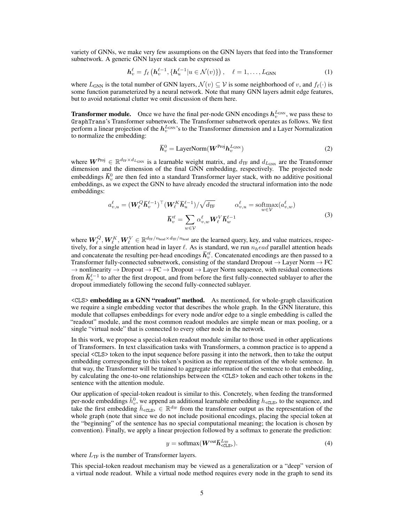variety of GNNs, we make very few assumptions on the GNN layers that feed into the Transformer subnetwork. A generic GNN layer stack can be expressed as

$$
\boldsymbol{h}_v^{\ell} = f_{\ell} \left( \boldsymbol{h}_v^{\ell-1}, \{ \boldsymbol{h}_u^{\ell-1} | u \in \mathcal{N}(v) \} \right), \quad \ell = 1, \dots, L_{\text{GNN}} \tag{1}
$$

where  $L_{GNN}$  is the total number of GNN layers,  $\mathcal{N}(v) \subseteq \mathcal{V}$  is some neighborhood of v, and  $f_{\ell}(·)$  is some function parameterized by a neural network. Note that many GNN layers admit edge features, but to avoid notational clutter we omit discussion of them here.

**Transformer module.** Once we have the final per-node GNN encodings  $h_v^{L_{\text{GNN}}}$ , we pass these to GraphTrans's Transformer subnetwork. The Transformer subnetwork operates as follows. We first perform a linear projection of the  $h_v^{L_{\text{GNN}}}$ 's to the Transformer dimension and a Layer Normalization to normalize the embedding:

$$
\bar{h}_v^0 = \text{LayerNorm}(W^{\text{Proj}} h_v^{\text{L}_{\text{GNN}}})
$$
\n(2)

where  $W^{\text{Proj}} \in \mathbb{R}^{d_{\text{TF}} \times d_{L_{\text{GNN}}} }$  is a learnable weight matrix, and  $d_{\text{TF}}$  and  $d_{L_{\text{GNN}}}$  are the Transformer dimension and the dimension of the final GNN embedding, respectively. The projected node embeddings  $\bar{h}_v^0$  are then fed into a standard Transformer layer stack, with no additive positional embeddings, as we expect the GNN to have already encoded the structural information into the node embeddings:

$$
a_{v,u}^{\ell} = (\boldsymbol{W}_{\ell}^{Q} \overline{\boldsymbol{h}}_{v}^{\ell-1})^{\top} (\boldsymbol{W}_{\ell}^{K} \overline{\boldsymbol{h}}_{u}^{\ell-1}) / \sqrt{d_{\text{TF}}} \qquad \alpha_{v,u}^{\ell} = \text{softmax}(a_{v,w}^{\ell})
$$

$$
\overline{\boldsymbol{h}}_{v}^{\ell\ell} = \sum_{w \in \mathcal{V}} \alpha_{v,w}^{\ell} \boldsymbol{W}_{\ell}^{V} \overline{\boldsymbol{h}}_{w}^{\ell-1}
$$
(3)

where  $\bm{W}_{\ell}^Q, \bm{W}_{\ell}^K, \bm{W}_{\ell}^V \in \mathbb{R}^{d_{\text{TF}}/n_{\text{head}} \times d_{\text{TF}}/n_{\text{head}}}$  are the learned query, key, and value matrices, respectively, for a single attention head in layer  $\ell$ . As is standard, we run  $n_h$ ead parallel attention heads and concatenate the resulting per-head encodings  $\bar h_v^{\prime\ell}$ . Concatenated encodings are then passed to a Transformer fully-connected subnetwork, consisting of the standard Dropout  $\rightarrow$  Layer Norm  $\rightarrow$  FC  $\rightarrow$  nonlinearity  $\rightarrow$  Dropout  $\rightarrow$  FC  $\rightarrow$  Dropout  $\rightarrow$  Layer Norm sequence, with residual connections from  $\bar{h}_v^{\ell-1}$  to after the first dropout, and from before the first fully-connected sublayer to after the dropout immediately following the second fully-connected sublayer.

<CLS> embedding as a GNN "readout" method. As mentioned, for whole-graph classification we require a single embedding vector that describes the whole graph. In the GNN literature, this module that collapses embeddings for every node and/or edge to a single embedding is called the "readout" module, and the most common readout modules are simple mean or max pooling, or a single "virtual node" that is connected to every other node in the network.

In this work, we propose a special-token readout module similar to those used in other applications of Transformers. In text classification tasks with Transformers, a common practice is to append a special <CLS> token to the input sequence before passing it into the network, then to take the output embedding corresponding to this token's position as the representation of the whole sentence. In that way, the Transformer will be trained to aggregate information of the sentence to that embedding, by calculating the one-to-one relationships between the <CLS> token and each other tokens in the sentence with the attention module.

Our application of special-token readout is similar to this. Concretely, when feeding the transformed per-node embeddings  $\bar{h}_v^0$ , we append an additional learnable embedding  $h_{\text{cCLS}}$  to the sequence, and take the first embedding  $\bar{h}_{\text{cCLS}} \in \mathbb{R}^{d_{\text{TF}}}$  from the transformer output as the representation of the whole graph (note that since we do not include positional encodings, placing the special token at the "beginning" of the sentence has no special computational meaning; the location is chosen by convention). Finally, we apply a linear projection followed by a softmax to generate the prediction:

$$
y = \text{softmax}(\boldsymbol{W}^{\text{out}} \overline{\boldsymbol{h}}_{\text{}}^{\text{L}_{\text{TF}}}).
$$
\n(4)

where  $L_{\text{TF}}$  is the number of Transformer layers.

This special-token readout mechanism may be viewed as a generalization or a "deep" version of a virtual node readout. While a virtual node method requires every node in the graph to send its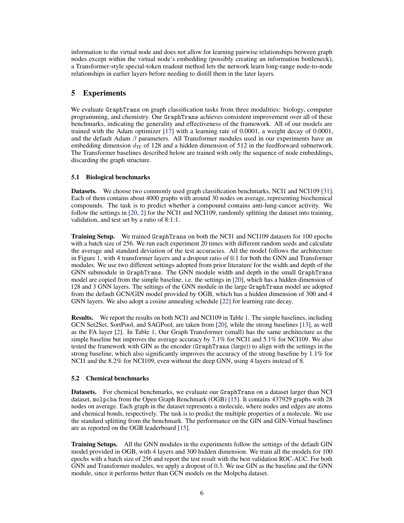information to the virtual node and does not allow for learning pairwise relationships between graph nodes except within the virtual node's embedding (possibly creating an information bottleneck), a Transformer-style special-token readout method lets the network learn long-range node-to-node relationships in earlier layers before needing to distill them in the later layers.

# 5 Experiments

We evaluate GraphTrans on graph classification tasks from three modalities: biology, computer programming, and chemistry. Our GraphTrans achieves consistent improvement over all of these benchmarks, indicating the generality and effectiveness of the framework. All of our models are trained with the Adam optimizer [\[17\]](#page-11-8) with a learning rate of 0.0001, a weight decay of 0.0001, and the default Adam  $\beta$  parameters. All Transformer modules used in our experiments have an embedding dimension  $d_{\text{TF}}$  of 128 and a hidden dimension of 512 in the feedforward subnetwork. The Transformer baselines described below are trained with only the sequence of node embeddings, discarding the graph structure.

## 5.1 Biological benchmarks

Datasets. We choose two commonly used graph classification benchmarks, NCI1 and NCI109 [\[31\]](#page-12-9). Each of them contains about 4000 graphs with around 30 nodes on average, representing biochemical compounds. The task is to predict whether a compound contains anti-lung-cancer activity. We follow the settings in [\[20,](#page-11-1) [2\]](#page-10-2) for the NCI1 and NCI109, randomly splitting the dataset into training, validation, and test set by a ratio of 8:1:1.

Training Setup. We trained GraphTrans on both the NCI1 and NCI109 datasets for 100 epochs with a batch size of 256. We run each experiment 20 times with different random seeds and calculate the average and standard deviation of the test accuracies. All the model follows the architecture in Figure [1,](#page-1-0) with 4 transformer layers and a dropout ratio of 0.1 for both the GNN and Transformer modules. We use two different settings adopted from prior literature for the width and depth of the GNN submodule in GraphTrans. The GNN module width and depth in the small GraphTrans model are copied from the simple baseline, i.e. the settings in [\[20\]](#page-11-1), which has a hidden dimension of 128 and 3 GNN layers. The settings of the GNN module in the large GraphTrans model are adopted from the default GCN/GIN model provided by OGB, which has a hidden dimension of 300 and 4 GNN layers. We also adopt a cosine annealing schedule [\[22\]](#page-11-9) for learning rate decay.

Results. We report the results on both NCI1 and NCI109 in Table [1.](#page-6-0) The simple baselines, including GCN Set2Set, SortPool, and SAGPool, are taken from [\[20\]](#page-11-1), while the strong baselines [\[13\]](#page-11-10), as well as the FA layer [\[2\]](#page-10-2). In Table [1,](#page-6-0) Our Graph Transformer (small) has the same architecture as the simple baseline but improves the average accuracy by 7.1% for NCI1 and 5.1% for NCI109. We also tested the framework with GIN as the encoder (GraphTrans (large)) to align with the settings in the strong baseline, which also significantly improves the accuracy of the strong baseline by 1.1% for NCI1 and the 8.2% for NCI109, even without the deep GNN, using 4 layers instead of 8.

## 5.2 Chemical benchmarks

Datasets. For chemical benchmarks, we evaluate our GraphTrans on a dataset larger than NCI dataset, molpcba from the Open Graph Benchmark (OGB) [\[15\]](#page-11-3). It contains 437929 graphs with 28 nodes on average. Each graph in the dataset represents a molecule, where nodes and edges are atoms and chemical bonds, respectively. The task is to predict the multiple properties of a molecule. We use the standard splitting from the benchmark. The performance on the GIN and GIN-Virtual baselines are as reported on the OGB leaderboard [\[15\]](#page-11-3).

**Training Setups.** All the GNN modules in the experiments follow the settings of the default GIN model provided in OGB, with 4 layers and 300 hidden dimension. We train all the models for 100 epochs with a batch size of 256 and report the test result with the best validation ROC-AUC. For both GNN and Transformer modules, we apply a dropout of 0.3. We use GIN as the baseline and the GNN module, since it performs better than GCN models on the Molpcba dataset.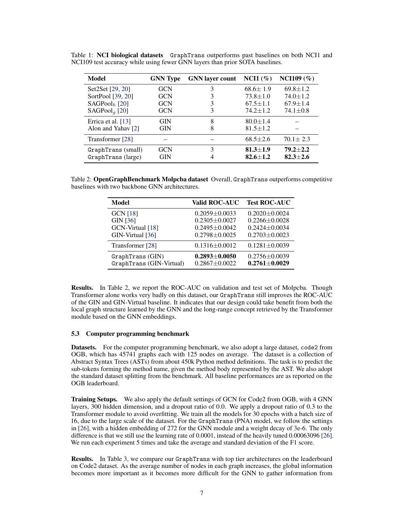| Model                     | <b>GNN</b> Type | <b>GNN</b> layer count | $NCI1(\%)$     | NCI109 $(\% )$ |
|---------------------------|-----------------|------------------------|----------------|----------------|
| Set2Set [29, 20]          | <b>GCN</b>      | 3                      | $68.6 \pm 1.9$ | $69.8 \pm 1.2$ |
| SortPool [39, 20]         | <b>GCN</b>      |                        | $73.8 \pm 1.0$ | $74.0 \pm 1.2$ |
| $SAGPoolb$ [20]           | <b>GCN</b>      | 3                      | $67.5 \pm 1.1$ | $67.9 \pm 1.4$ |
| SAGPool <sub>q</sub> [20] | GCN             | 3                      | $74.2 \pm 1.2$ | $74.1 \pm 0.8$ |
| Errica et al. [13]        | <b>GIN</b>      | 8                      | $80.0 \pm 1.4$ |                |
| Alon and Yahav [2]        | <b>GIN</b>      | 8                      | $81.5 \pm 1.2$ |                |
| Transformer [28]          |                 |                        | $68.5 \pm 2.6$ | $70.1 \pm 2.3$ |
| GraphTrans (small)        | <b>GCN</b>      | 3                      | $81.3 \pm 1.9$ | $79.2 + 2.2$   |
| GraphTrans (large)        | <b>GIN</b>      |                        | $82.6 + 1.2$   | $82.3 + 2.6$   |

<span id="page-6-0"></span>Table 1: NCI biological datasets GraphTrans outperforms past baselines on both NCI1 and NCI109 test accuracy while using fewer GNN layers than prior SOTA baselines.

<span id="page-6-1"></span>Table 2: OpenGraphBenchmark Molpcba dataset Overall, GraphTrans outperforms competitive baselines with two backbone GNN architectures.

| Model                                       | <b>Valid ROC-AUC</b>                   | <b>Test ROC-AUC</b>                      |
|---------------------------------------------|----------------------------------------|------------------------------------------|
| <b>GCN [18]</b>                             | $0.2059 \pm 0.0033$                    | $0.2020 + 0.0024$                        |
| GIN [36]                                    | $0.2305 \pm 0.0027$                    | $0.2266 \pm 0.0028$                      |
| GCN-Virtual [18]                            | $0.2495 + 0.0042$                      | $0.2424 + 0.0034$                        |
| GIN-Virtual [36]                            | $0.2798 \pm 0.0025$                    | $0.2703 \pm 0.0023$                      |
| Transformer [28]                            | $0.1316 \pm 0.0012$                    | $0.1281 \pm 0.0039$                      |
| GraphTrans(GIN)<br>GraphTrans (GIN-Virtual) | $0.2893 + 0.0050$<br>$0.2867 + 0.0022$ | $0.2756 \pm 0.0039$<br>$0.2761 + 0.0029$ |

Results. In Table [2,](#page-6-1) we report the ROC-AUC on validation and test set of Molpcba. Though Transformer alone works very badly on this dataset, our GraphTrans still improves the ROC-AUC of the GIN and GIN-Virtual baseline. It indicates that our design could take benefit from both the local graph structure learned by the GNN and the long-range concept retrieved by the Transformer module based on the GNN embeddings.

#### 5.3 Computer programming benchmark

Datasets. For the computer programming benchmark, we also adopt a large dataset, code2 from OGB, which has 45741 graphs each with 125 nodes on average. The dataset is a collection of Abstract Syntax Trees (ASTs) from about 450k Python method definitions. The task is to predict the sub-tokens forming the method name, given the method body represented by the AST. We also adopt the standard dataset splitting from the benchmark. All baseline performances are as reported on the OGB leaderboard.

Training Setups. We also apply the default settings of GCN for Code2 from OGB, with 4 GNN layers, 300 hidden dimension, and a dropout ratio of 0.0. We apply a dropout ratio of 0.3 to the Transformer module to avoid overfitting. We train all the models for 30 epochs with a batch size of 16, due to the large scale of the dataset. For the GraphTrans (PNA) model, we follow the settings in [\[26\]](#page-12-11), with a hidden embedding of 272 for the GNN module and a weight decay of 3e-6. The only difference is that we still use the learning rate of 0.0001, instead of the heavily tuned 0.00063096 [\[26\]](#page-12-11). We run each experiment 5 times and take the average and standard deviation of the F1 score.

Results. In Table [3,](#page-7-0) we compare our GraphTrans with top tier architectures on the leaderboard on Code2 dataset. As the average number of nodes in each graph increases, the global information becomes more important as it becomes more difficult for the GNN to gather information from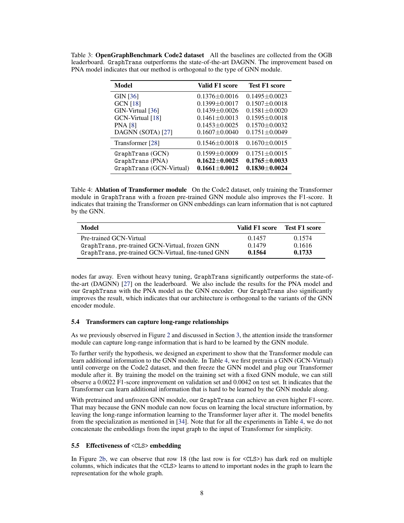| Model                    | Valid F1 score      | <b>Test F1 score</b> |
|--------------------------|---------------------|----------------------|
| GIN [36]                 | $0.1376 \pm 0.0016$ | $0.1495 + 0.0023$    |
| <b>GCN</b> [18]          | $0.1399 + 0.0017$   | $0.1507 + 0.0018$    |
| GIN-Virtual [36]         | $0.1439 + 0.0026$   | $0.1581 + 0.0020$    |
| GCN-Virtual [18]         | $0.1461 \pm 0.0013$ | $0.1595 \pm 0.0018$  |
| <b>PNA</b> [8]           | $0.1453 + 0.0025$   | $0.1570 + 0.0032$    |
| DAGNN (SOTA) [27]        | $0.1607 \pm 0.0040$ | $0.1751 \pm 0.0049$  |
| Transformer [28]         | $0.1546 \pm 0.0018$ | $0.1670 + 0.0015$    |
| GraphTrans (GCN)         | $0.1599 \pm 0.0009$ | $0.1751 \pm 0.0015$  |
| GraphTrans (PNA)         | $0.1622 + 0.0025$   | $0.1765 \pm 0.0033$  |
| GraphTrans (GCN-Virtual) | $0.1661 \pm 0.0012$ | $0.1830 + 0.0024$    |

<span id="page-7-0"></span>Table 3: OpenGraphBenchmark Code2 dataset All the baselines are collected from the OGB leaderboard. GraphTrans outperforms the state-of-the-art DAGNN. The improvement based on PNA model indicates that our method is orthogonal to the type of GNN module.

<span id="page-7-1"></span>Table 4: Ablation of Transformer module On the Code2 dataset, only training the Transformer module in GraphTrans with a frozen pre-trained GNN module also improves the F1-score. It indicates that training the Transformer on GNN embeddings can learn information that is not captured by the GNN.

| Model                                               | Valid F1 score | <b>Test F1 score</b> |
|-----------------------------------------------------|----------------|----------------------|
| Pre-trained GCN-Virtual                             | 0.1457         | 0.1574               |
| GraphTrans, pre-trained GCN-Virtual, frozen GNN     | 0.1479         | 0.1616               |
| GraphTrans, pre-trained GCN-Virtual, fine-tuned GNN | 0.1564         | 0.1733               |

nodes far away. Even without heavy tuning, GraphTrans significantly outperforms the state-ofthe-art (DAGNN) [\[27\]](#page-12-1) on the leaderboard. We also include the results for the PNA model and our GraphTrans with the PNA model as the GNN encoder. Our GraphTrans also significantly improves the result, which indicates that our architecture is orthogonal to the variants of the GNN encoder module.

#### 5.4 Transformers can capture long-range relationships

As we previously observed in Figure [2](#page-3-1) and discussed in Section [3,](#page-2-0) the attention inside the transformer module can capture long-range information that is hard to be learned by the GNN module.

To further verify the hypothesis, we designed an experiment to show that the Transformer module can learn additional information to the GNN module. In Table [4,](#page-7-1) we first pretrain a GNN (GCN-Virtual) until converge on the Code2 dataset, and then freeze the GNN model and plug our Transformer module after it. By training the model on the training set with a fixed GNN module, we can still observe a 0.0022 F1-score improvement on validation set and 0.0042 on test set. It indicates that the Transformer can learn additional information that is hard to be learned by the GNN module along.

With pretrained and unfrozen GNN module, our GraphTrans can achieve an even higher F1-score. That may because the GNN module can now focus on learning the local structure information, by leaving the long-range information learning to the Transformer layer after it. The model benefits from the specialization as mentioned in [\[34\]](#page-12-6). Note that for all the experiments in Table [4,](#page-7-1) we do not concatenate the embeddings from the input graph to the input of Transformer for simplicity.

#### 5.5 Effectiveness of <CLS> embedding

In Figure [2b,](#page-3-1) we can observe that row 18 (the last row is for <CLS>) has dark red on multiple columns, which indicates that the <CLS> learns to attend to important nodes in the graph to learn the representation for the whole graph.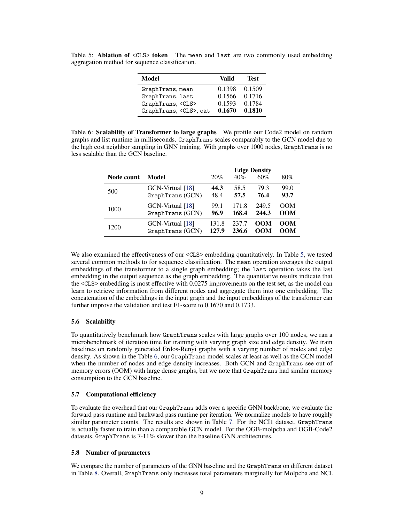<span id="page-8-0"></span>Table 5: Ablation of <CLS> token The mean and last are two commonly used embedding aggregation method for sequence classification.

| Model                        | Valid  | <b>Test</b> |
|------------------------------|--------|-------------|
| GraphTrans, mean             | 0.1398 | 0.1509      |
| GraphTrans, last             | 0.1566 | 0.1716      |
| GraphTrans, <cls></cls>      | 0.1593 | 0.1784      |
| GraphTrans, <cls>, cat</cls> | 0.1670 | 0.1810      |

<span id="page-8-1"></span>Table 6: Scalability of Transformer to large graphs We profile our Code2 model on random graphs and list runtime in milliseconds. GraphTrans scales comparably to the GCN model due to the high cost neighbor sampling in GNN training. With graphs over 1000 nodes, GraphTrans is no less scalable than the GCN baseline.

|            |                  |       |       | <b>Edge Density</b> |            |
|------------|------------------|-------|-------|---------------------|------------|
| Node count | Model            | 20%   | 40%   | 60%                 | 80%        |
| 500        | GCN-Virtual [18] | 44.3  | 58.5  | 79.3                | 99.0       |
|            | GraphTrans (GCN) | 48.4  | 57.5  | 76.4                | 93.7       |
| 1000       | GCN-Virtual [18] | 99.1  | 171.8 | 249.5               | <b>OOM</b> |
|            | GraphTrans (GCN) | 96.9  | 168.4 | 244.3               | <b>OOM</b> |
| 1200       | GCN-Virtual [18] | 131.8 | 237.7 | OOM                 | OOM        |
|            | GraphTrans(GCN)  | 127.9 | 236.6 | OOM                 | <b>OOM</b> |

We also examined the effectiveness of our <CLS> embedding quantitatively. In Table [5,](#page-8-0) we tested several common methods to for sequence classification. The mean operation averages the output embeddings of the transformer to a single graph embedding; the last operation takes the last embedding in the output sequence as the graph embedding. The quantitative results indicate that the <CLS> embedding is most effective with 0.0275 improvements on the test set, as the model can learn to retrieve information from different nodes and aggregate them into one embedding. The concatenation of the embeddings in the input graph and the input embeddings of the transformer can further improve the validation and test F1-score to 0.1670 and 0.1733.

#### 5.6 Scalability

To quantitatively benchmark how GraphTrans scales with large graphs over 100 nodes, we ran a microbenchmark of iteration time for training with varying graph size and edge density. We train baselines on randomly generated Erdos-Renyi graphs with a varying number of nodes and edge density. As shown in the Table [6,](#page-8-1) our GraphTrans model scales at least as well as the GCN model when the number of nodes and edge density increases. Both GCN and GraphTrans see out of memory errors (OOM) with large dense graphs, but we note that GraphTrans had similar memory consumption to the GCN baseline.

#### 5.7 Computational efficiency

To evaluate the overhead that our GraphTrans adds over a specific GNN backbone, we evaluate the forward pass runtime and backward pass runtime per iteration. We normalize models to have roughly similar parameter counts. The results are shown in Table [7.](#page-9-0) For the NCI1 dataset, GraphTrans is actually faster to train than a comparable GCN model. For the OGB-molpcba and OGB-Code2 datasets, GraphTrans is 7-11% slower than the baseline GNN architectures.

#### 5.8 Number of parameters

We compare the number of parameters of the GNN baseline and the GraphTrans on different dataset in Table [8.](#page-9-1) Overall, GraphTrans only increases total parameters marginally for Molpcba and NCI.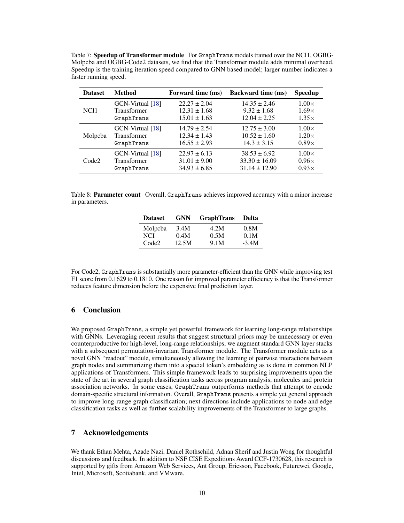<span id="page-9-0"></span>Table 7: Speedup of Transformer module For GraphTrans models trained over the NCI1, OGBG-Molpcba and OGBG-Code2 datasets, we find that the Transformer module adds minimal overhead. Speedup is the training iteration speed compared to GNN based model; larger number indicates a faster running speed.

| <b>Dataset</b>    | <b>Method</b>    | Forward time (ms) | <b>Backward time (ms)</b> | <b>Speedup</b> |
|-------------------|------------------|-------------------|---------------------------|----------------|
| NCI1              | GCN-Virtual [18] | $22.27 \pm 2.04$  | $14.35 \pm 2.46$          | $1.00\times$   |
|                   | Transformer      | $12.31 \pm 1.68$  | $9.32 \pm 1.68$           | $1.69\times$   |
|                   | GraphTrans       | $15.01 \pm 1.63$  | $12.04 \pm 2.25$          | $1.35\times$   |
| Molpcba           | GCN-Virtual [18] | $14.79 \pm 2.54$  | $12.75 \pm 3.00$          | $1.00\times$   |
|                   | Transformer      | $12.34 \pm 1.43$  | $10.52 \pm 1.60$          | $1.20\times$   |
|                   | GraphTrans       | $16.55 \pm 2.93$  | $14.3 \pm 3.15$           | $0.89\times$   |
| Code <sub>2</sub> | GCN-Virtual [18] | $22.97 \pm 6.13$  | $38.53 \pm 6.92$          | $1.00\times$   |
|                   | Transformer      | $31.01 \pm 9.00$  | $33.30 \pm 16.09$         | $0.96\times$   |
|                   | GraphTrans       | $34.93 \pm 6.85$  | $31.14 \pm 12.90$         | $0.93\times$   |

<span id="page-9-1"></span>Table 8: **Parameter count** Overall, GraphTrans achieves improved accuracy with a minor increase in parameters.

| <b>Dataset</b>        | <b>GNN</b>   | <b>GraphTrans</b> | Delta        |
|-----------------------|--------------|-------------------|--------------|
| Molpcba<br><b>NCI</b> | 3.4M<br>0.4M | 4.2M<br>0.5M      | 0.8M<br>0.1M |
| Code <sub>2</sub>     | 12.5M        | 9.1M              | $-3.4M$      |

For Code2, GraphTrans is substantially more parameter-efficient than the GNN while improving test F1 score from 0.1629 to 0.1810. One reason for improved parameter efficiency is that the Transformer reduces feature dimension before the expensive final prediction layer.

## 6 Conclusion

We proposed GraphTrans, a simple yet powerful framework for learning long-range relationships with GNNs. Leveraging recent results that suggest structural priors may be unnecessary or even counterproductive for high-level, long-range relationships, we augment standard GNN layer stacks with a subsequent permutation-invariant Transformer module. The Transformer module acts as a novel GNN "readout" module, simultaneously allowing the learning of pairwise interactions between graph nodes and summarizing them into a special token's embedding as is done in common NLP applications of Transformers. This simple framework leads to surprising improvements upon the state of the art in several graph classification tasks across program analysis, molecules and protein association networks. In some cases, GraphTrans outperforms methods that attempt to encode domain-specific structural information. Overall, GraphTrans presents a simple yet general approach to improve long-range graph classification; next directions include applications to node and edge classification tasks as well as further scalability improvements of the Transformer to large graphs.

## 7 Acknowledgements

We thank Ethan Mehta, Azade Nazi, Daniel Rothschild, Adnan Sherif and Justin Wong for thoughtful discussions and feedback. In addition to NSF CISE Expeditions Award CCF-1730628, this research is supported by gifts from Amazon Web Services, Ant Group, Ericsson, Facebook, Futurewei, Google, Intel, Microsoft, Scotiabank, and VMware.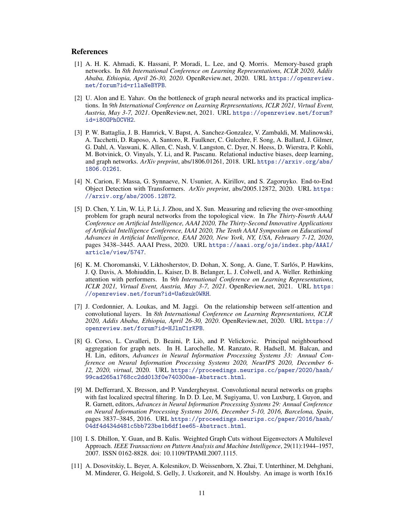#### References

- <span id="page-10-7"></span>[1] A. H. K. Ahmadi, K. Hassani, P. Moradi, L. Lee, and Q. Morris. Memory-based graph networks. In *8th International Conference on Learning Representations, ICLR 2020, Addis Ababa, Ethiopia, April 26-30, 2020*. OpenReview.net, 2020. URL [https://openreview.](https://openreview.net/forum?id=r1laNeBYPB) [net/forum?id=r1laNeBYPB](https://openreview.net/forum?id=r1laNeBYPB).
- <span id="page-10-2"></span>[2] U. Alon and E. Yahav. On the bottleneck of graph neural networks and its practical implications. In *9th International Conference on Learning Representations, ICLR 2021, Virtual Event, Austria, May 3-7, 2021*. OpenReview.net, 2021. URL [https://openreview.net/forum?](https://openreview.net/forum?id=i80OPhOCVH2) [id=i80OPhOCVH2](https://openreview.net/forum?id=i80OPhOCVH2).
- <span id="page-10-0"></span>[3] P. W. Battaglia, J. B. Hamrick, V. Bapst, A. Sanchez-Gonzalez, V. Zambaldi, M. Malinowski, A. Tacchetti, D. Raposo, A. Santoro, R. Faulkner, C. Gulcehre, F. Song, A. Ballard, J. Gilmer, G. Dahl, A. Vaswani, K. Allen, C. Nash, V. Langston, C. Dyer, N. Heess, D. Wierstra, P. Kohli, M. Botvinick, O. Vinyals, Y. Li, and R. Pascanu. Relational inductive biases, deep learning, and graph networks. *ArXiv preprint*, abs/1806.01261, 2018. URL [https://arxiv.org/abs/](https://arxiv.org/abs/1806.01261) [1806.01261](https://arxiv.org/abs/1806.01261).
- <span id="page-10-5"></span>[4] N. Carion, F. Massa, G. Synnaeve, N. Usunier, A. Kirillov, and S. Zagoruyko. End-to-End Object Detection with Transformers. *ArXiv preprint*, abs/2005.12872, 2020. URL [https:](https://arxiv.org/abs/2005.12872) [//arxiv.org/abs/2005.12872](https://arxiv.org/abs/2005.12872).
- <span id="page-10-1"></span>[5] D. Chen, Y. Lin, W. Li, P. Li, J. Zhou, and X. Sun. Measuring and relieving the over-smoothing problem for graph neural networks from the topological view. In *The Thirty-Fourth AAAI Conference on Artificial Intelligence, AAAI 2020, The Thirty-Second Innovative Applications of Artificial Intelligence Conference, IAAI 2020, The Tenth AAAI Symposium on Educational Advances in Artificial Intelligence, EAAI 2020, New York, NY, USA, February 7-12, 2020*, pages 3438–3445. AAAI Press, 2020. URL [https://aaai.org/ojs/index.php/AAAI/](https://aaai.org/ojs/index.php/AAAI/article/view/5747) [article/view/5747](https://aaai.org/ojs/index.php/AAAI/article/view/5747).
- <span id="page-10-9"></span>[6] K. M. Choromanski, V. Likhosherstov, D. Dohan, X. Song, A. Gane, T. Sarlós, P. Hawkins, J. Q. Davis, A. Mohiuddin, L. Kaiser, D. B. Belanger, L. J. Colwell, and A. Weller. Rethinking attention with performers. In *9th International Conference on Learning Representations, ICLR 2021, Virtual Event, Austria, May 3-7, 2021*. OpenReview.net, 2021. URL [https:](https://openreview.net/forum?id=Ua6zuk0WRH) [//openreview.net/forum?id=Ua6zuk0WRH](https://openreview.net/forum?id=Ua6zuk0WRH).
- <span id="page-10-6"></span>[7] J. Cordonnier, A. Loukas, and M. Jaggi. On the relationship between self-attention and convolutional layers. In *8th International Conference on Learning Representations, ICLR 2020, Addis Ababa, Ethiopia, April 26-30, 2020*. OpenReview.net, 2020. URL [https://](https://openreview.net/forum?id=HJlnC1rKPB) [openreview.net/forum?id=HJlnC1rKPB](https://openreview.net/forum?id=HJlnC1rKPB).
- <span id="page-10-10"></span>[8] G. Corso, L. Cavalleri, D. Beaini, P. Liò, and P. Velickovic. Principal neighbourhood aggregation for graph nets. In H. Larochelle, M. Ranzato, R. Hadsell, M. Balcan, and H. Lin, editors, *Advances in Neural Information Processing Systems 33: Annual Conference on Neural Information Processing Systems 2020, NeurIPS 2020, December 6- 12, 2020, virtual*, 2020. URL [https://proceedings.neurips.cc/paper/2020/hash/](https://proceedings.neurips.cc/paper/2020/hash/99cad265a1768cc2dd013f0e740300ae-Abstract.html) [99cad265a1768cc2dd013f0e740300ae-Abstract.html](https://proceedings.neurips.cc/paper/2020/hash/99cad265a1768cc2dd013f0e740300ae-Abstract.html).
- <span id="page-10-3"></span>[9] M. Defferrard, X. Bresson, and P. Vandergheynst. Convolutional neural networks on graphs with fast localized spectral filtering. In D. D. Lee, M. Sugiyama, U. von Luxburg, I. Guyon, and R. Garnett, editors, *Advances in Neural Information Processing Systems 29: Annual Conference on Neural Information Processing Systems 2016, December 5-10, 2016, Barcelona, Spain*, pages 3837–3845, 2016. URL [https://proceedings.neurips.cc/paper/2016/hash/](https://proceedings.neurips.cc/paper/2016/hash/04df4d434d481c5bb723be1b6df1ee65-Abstract.html) [04df4d434d481c5bb723be1b6df1ee65-Abstract.html](https://proceedings.neurips.cc/paper/2016/hash/04df4d434d481c5bb723be1b6df1ee65-Abstract.html).
- <span id="page-10-8"></span>[10] I. S. Dhillon, Y. Guan, and B. Kulis. Weighted Graph Cuts without Eigenvectors A Multilevel Approach. *IEEE Transactions on Pattern Analysis and Machine Intelligence*, 29(11):1944–1957, 2007. ISSN 0162-8828. doi: 10.1109/TPAMI.2007.1115.
- <span id="page-10-4"></span>[11] A. Dosovitskiy, L. Beyer, A. Kolesnikov, D. Weissenborn, X. Zhai, T. Unterthiner, M. Dehghani, M. Minderer, G. Heigold, S. Gelly, J. Uszkoreit, and N. Houlsby. An image is worth 16x16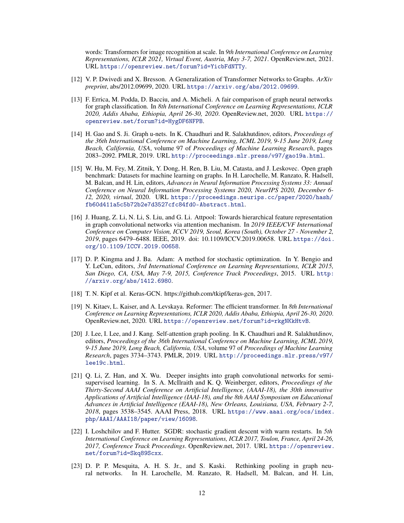words: Transformers for image recognition at scale. In *9th International Conference on Learning Representations, ICLR 2021, Virtual Event, Austria, May 3-7, 2021*. OpenReview.net, 2021. URL <https://openreview.net/forum?id=YicbFdNTTy>.

- <span id="page-11-6"></span>[12] V. P. Dwivedi and X. Bresson. A Generalization of Transformer Networks to Graphs. *ArXiv preprint*, abs/2012.09699, 2020. URL <https://arxiv.org/abs/2012.09699>.
- <span id="page-11-10"></span>[13] F. Errica, M. Podda, D. Bacciu, and A. Micheli. A fair comparison of graph neural networks for graph classification. In *8th International Conference on Learning Representations, ICLR 2020, Addis Ababa, Ethiopia, April 26-30, 2020*. OpenReview.net, 2020. URL [https://](https://openreview.net/forum?id=HygDF6NFPB) [openreview.net/forum?id=HygDF6NFPB](https://openreview.net/forum?id=HygDF6NFPB).
- <span id="page-11-4"></span>[14] H. Gao and S. Ji. Graph u-nets. In K. Chaudhuri and R. Salakhutdinov, editors, *Proceedings of the 36th International Conference on Machine Learning, ICML 2019, 9-15 June 2019, Long Beach, California, USA*, volume 97 of *Proceedings of Machine Learning Research*, pages 2083–2092. PMLR, 2019. URL <http://proceedings.mlr.press/v97/gao19a.html>.
- <span id="page-11-3"></span>[15] W. Hu, M. Fey, M. Zitnik, Y. Dong, H. Ren, B. Liu, M. Catasta, and J. Leskovec. Open graph benchmark: Datasets for machine learning on graphs. In H. Larochelle, M. Ranzato, R. Hadsell, M. Balcan, and H. Lin, editors, *Advances in Neural Information Processing Systems 33: Annual Conference on Neural Information Processing Systems 2020, NeurIPS 2020, December 6- 12, 2020, virtual*, 2020. URL [https://proceedings.neurips.cc/paper/2020/hash/](https://proceedings.neurips.cc/paper/2020/hash/fb60d411a5c5b72b2e7d3527cfc84fd0-Abstract.html) [fb60d411a5c5b72b2e7d3527cfc84fd0-Abstract.html](https://proceedings.neurips.cc/paper/2020/hash/fb60d411a5c5b72b2e7d3527cfc84fd0-Abstract.html).
- <span id="page-11-5"></span>[16] J. Huang, Z. Li, N. Li, S. Liu, and G. Li. Attpool: Towards hierarchical feature representation in graph convolutional networks via attention mechanism. In *2019 IEEE/CVF International Conference on Computer Vision, ICCV 2019, Seoul, Korea (South), October 27 - November 2, 2019*, pages 6479–6488. IEEE, 2019. doi: 10.1109/ICCV.2019.00658. URL [https://doi.](https://doi.org/10.1109/ICCV.2019.00658) [org/10.1109/ICCV.2019.00658](https://doi.org/10.1109/ICCV.2019.00658).
- <span id="page-11-8"></span>[17] D. P. Kingma and J. Ba. Adam: A method for stochastic optimization. In Y. Bengio and Y. LeCun, editors, *3rd International Conference on Learning Representations, ICLR 2015, San Diego, CA, USA, May 7-9, 2015, Conference Track Proceedings*, 2015. URL [http:](http://arxiv.org/abs/1412.6980) [//arxiv.org/abs/1412.6980](http://arxiv.org/abs/1412.6980).
- <span id="page-11-11"></span>[18] T. N. Kipf et al. Keras-GCN. https://github.com/tkipf/keras-gcn, 2017.
- <span id="page-11-7"></span>[19] N. Kitaev, L. Kaiser, and A. Levskaya. Reformer: The efficient transformer. In *8th International Conference on Learning Representations, ICLR 2020, Addis Ababa, Ethiopia, April 26-30, 2020*. OpenReview.net, 2020. URL <https://openreview.net/forum?id=rkgNKkHtvB>.
- <span id="page-11-1"></span>[20] J. Lee, I. Lee, and J. Kang. Self-attention graph pooling. In K. Chaudhuri and R. Salakhutdinov, editors, *Proceedings of the 36th International Conference on Machine Learning, ICML 2019, 9-15 June 2019, Long Beach, California, USA*, volume 97 of *Proceedings of Machine Learning Research*, pages 3734–3743. PMLR, 2019. URL [http://proceedings.mlr.press/v97/](http://proceedings.mlr.press/v97/lee19c.html) [lee19c.html](http://proceedings.mlr.press/v97/lee19c.html).
- <span id="page-11-0"></span>[21] Q. Li, Z. Han, and X. Wu. Deeper insights into graph convolutional networks for semisupervised learning. In S. A. McIlraith and K. Q. Weinberger, editors, *Proceedings of the Thirty-Second AAAI Conference on Artificial Intelligence, (AAAI-18), the 30th innovative Applications of Artificial Intelligence (IAAI-18), and the 8th AAAI Symposium on Educational Advances in Artificial Intelligence (EAAI-18), New Orleans, Louisiana, USA, February 2-7, 2018*, pages 3538–3545. AAAI Press, 2018. URL [https://www.aaai.org/ocs/index.](https://www.aaai.org/ocs/index.php/AAAI/AAAI18/paper/view/16098) [php/AAAI/AAAI18/paper/view/16098](https://www.aaai.org/ocs/index.php/AAAI/AAAI18/paper/view/16098).
- <span id="page-11-9"></span>[22] I. Loshchilov and F. Hutter. SGDR: stochastic gradient descent with warm restarts. In *5th International Conference on Learning Representations, ICLR 2017, Toulon, France, April 24-26, 2017, Conference Track Proceedings*. OpenReview.net, 2017. URL [https://openreview.](https://openreview.net/forum?id=Skq89Scxx) [net/forum?id=Skq89Scxx](https://openreview.net/forum?id=Skq89Scxx).
- <span id="page-11-2"></span>[23] D. P. P. Mesquita, A. H. S. Jr., and S. Kaski. Rethinking pooling in graph neural networks. In H. Larochelle, M. Ranzato, R. Hadsell, M. Balcan, and H. Lin,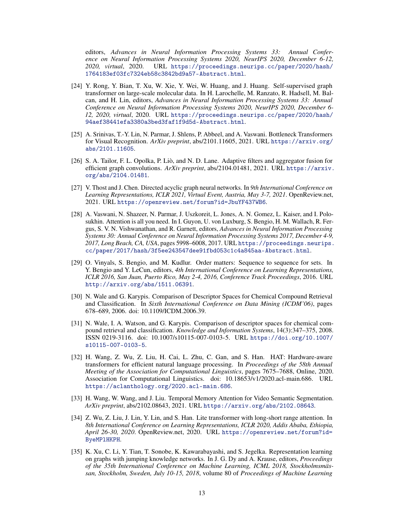editors, *Advances in Neural Information Processing Systems 33: Annual Conference on Neural Information Processing Systems 2020, NeurIPS 2020, December 6-12, 2020, virtual*, 2020. URL [https://proceedings.neurips.cc/paper/2020/hash/](https://proceedings.neurips.cc/paper/2020/hash/1764183ef03fc7324eb58c3842bd9a57-Abstract.html) [1764183ef03fc7324eb58c3842bd9a57-Abstract.html](https://proceedings.neurips.cc/paper/2020/hash/1764183ef03fc7324eb58c3842bd9a57-Abstract.html).

- <span id="page-12-4"></span>[24] Y. Rong, Y. Bian, T. Xu, W. Xie, Y. Wei, W. Huang, and J. Huang. Self-supervised graph transformer on large-scale molecular data. In H. Larochelle, M. Ranzato, R. Hadsell, M. Balcan, and H. Lin, editors, *Advances in Neural Information Processing Systems 33: Annual Conference on Neural Information Processing Systems 2020, NeurIPS 2020, December 6- 12, 2020, virtual*, 2020. URL [https://proceedings.neurips.cc/paper/2020/hash/](https://proceedings.neurips.cc/paper/2020/hash/94aef38441efa3380a3bed3faf1f9d5d-Abstract.html) [94aef38441efa3380a3bed3faf1f9d5d-Abstract.html](https://proceedings.neurips.cc/paper/2020/hash/94aef38441efa3380a3bed3faf1f9d5d-Abstract.html).
- <span id="page-12-2"></span>[25] A. Srinivas, T.-Y. Lin, N. Parmar, J. Shlens, P. Abbeel, and A. Vaswani. Bottleneck Transformers for Visual Recognition. *ArXiv preprint*, abs/2101.11605, 2021. URL [https://arxiv.org/](https://arxiv.org/abs/2101.11605) [abs/2101.11605](https://arxiv.org/abs/2101.11605).
- <span id="page-12-11"></span>[26] S. A. Tailor, F. L. Opolka, P. Liò, and N. D. Lane. Adaptive filters and aggregator fusion for efficient graph convolutions. *ArXiv preprint*, abs/2104.01481, 2021. URL [https://arxiv.](https://arxiv.org/abs/2104.01481) [org/abs/2104.01481](https://arxiv.org/abs/2104.01481).
- <span id="page-12-1"></span>[27] V. Thost and J. Chen. Directed acyclic graph neural networks. In *9th International Conference on Learning Representations, ICLR 2021, Virtual Event, Austria, May 3-7, 2021*. OpenReview.net, 2021. URL <https://openreview.net/forum?id=JbuYF437WB6>.
- <span id="page-12-5"></span>[28] A. Vaswani, N. Shazeer, N. Parmar, J. Uszkoreit, L. Jones, A. N. Gomez, L. Kaiser, and I. Polosukhin. Attention is all you need. In I. Guyon, U. von Luxburg, S. Bengio, H. M. Wallach, R. Fergus, S. V. N. Vishwanathan, and R. Garnett, editors, *Advances in Neural Information Processing Systems 30: Annual Conference on Neural Information Processing Systems 2017, December 4-9, 2017, Long Beach, CA, USA*, pages 5998–6008, 2017. URL [https://proceedings.neurips.](https://proceedings.neurips.cc/paper/2017/hash/3f5ee243547dee91fbd053c1c4a845aa-Abstract.html) [cc/paper/2017/hash/3f5ee243547dee91fbd053c1c4a845aa-Abstract.html](https://proceedings.neurips.cc/paper/2017/hash/3f5ee243547dee91fbd053c1c4a845aa-Abstract.html).
- <span id="page-12-10"></span>[29] O. Vinyals, S. Bengio, and M. Kudlur. Order matters: Sequence to sequence for sets. In Y. Bengio and Y. LeCun, editors, *4th International Conference on Learning Representations, ICLR 2016, San Juan, Puerto Rico, May 2-4, 2016, Conference Track Proceedings*, 2016. URL <http://arxiv.org/abs/1511.06391>.
- <span id="page-12-3"></span>[30] N. Wale and G. Karypis. Comparison of Descriptor Spaces for Chemical Compound Retrieval and Classification. In *Sixth International Conference on Data Mining (ICDM'06)*, pages 678–689, 2006. doi: 10.1109/ICDM.2006.39.
- <span id="page-12-9"></span>[31] N. Wale, I. A. Watson, and G. Karypis. Comparison of descriptor spaces for chemical compound retrieval and classification. *Knowledge and Information Systems*, 14(3):347–375, 2008. ISSN 0219-3116. doi: 10.1007/s10115-007-0103-5. URL [https://doi.org/10.1007/](https://doi.org/10.1007/s10115-007-0103-5) [s10115-007-0103-5](https://doi.org/10.1007/s10115-007-0103-5).
- <span id="page-12-7"></span>[32] H. Wang, Z. Wu, Z. Liu, H. Cai, L. Zhu, C. Gan, and S. Han. HAT: Hardware-aware transformers for efficient natural language processing. In *Proceedings of the 58th Annual Meeting of the Association for Computational Linguistics*, pages 7675–7688, Online, 2020. Association for Computational Linguistics. doi: 10.18653/v1/2020.acl-main.686. URL <https://aclanthology.org/2020.acl-main.686>.
- <span id="page-12-8"></span>[33] H. Wang, W. Wang, and J. Liu. Temporal Memory Attention for Video Semantic Segmentation. *ArXiv preprint*, abs/2102.08643, 2021. URL <https://arxiv.org/abs/2102.08643>.
- <span id="page-12-6"></span>[34] Z. Wu, Z. Liu, J. Lin, Y. Lin, and S. Han. Lite transformer with long-short range attention. In *8th International Conference on Learning Representations, ICLR 2020, Addis Ababa, Ethiopia, April 26-30, 2020*. OpenReview.net, 2020. URL [https://openreview.net/forum?id=](https://openreview.net/forum?id=ByeMPlHKPH) [ByeMPlHKPH](https://openreview.net/forum?id=ByeMPlHKPH).
- <span id="page-12-0"></span>[35] K. Xu, C. Li, Y. Tian, T. Sonobe, K. Kawarabayashi, and S. Jegelka. Representation learning on graphs with jumping knowledge networks. In J. G. Dy and A. Krause, editors, *Proceedings of the 35th International Conference on Machine Learning, ICML 2018, Stockholmsmässan, Stockholm, Sweden, July 10-15, 2018*, volume 80 of *Proceedings of Machine Learning*